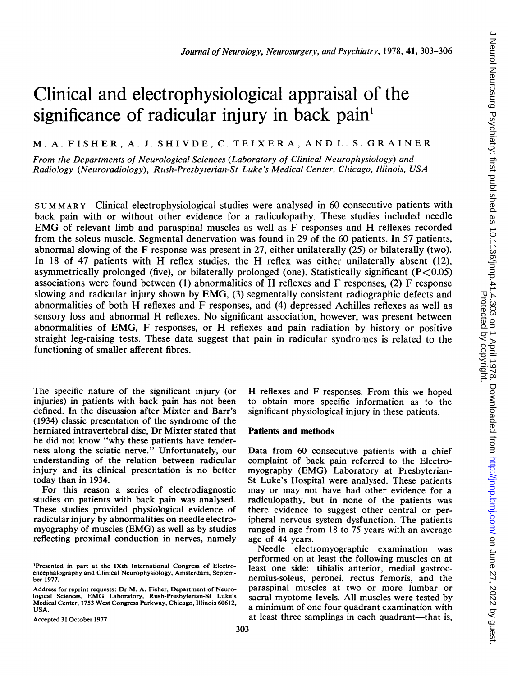# Clinical and electrophysiological appraisal of the significance of radicular injury in back pain'

## M. A. FISHER, A. J. SHIVDE, C. TEIXERA, AND L. S. GRAINER

From the Departments of Neurological Sciences (Laboratory of Clinical Neurophysiology) and Radio!ogy (Neuroradiology), Rush-Presbyterian-St Luke's Medical Center, Chlicago, Illinois, USA

<sup>S</sup> U M MARY Clinical electrophysiological studies were analysed in 60 consecutive patients with back pain with or without other evidence for a radiculopathy. These studies included needle EMG of relevant limb and paraspinal muscles as well as F responses and H reflexes recorded from the soleus muscle. Segmental denervation was found in 29 of the 60 patients. In 57 patients, abnormal slowing of the F response was present in 27, either unilaterally (25) or bilaterally (two). In <sup>18</sup> of <sup>47</sup> patients with H reflex studies, the H reflex was either unilaterally absent (12), asymmetrically prolonged (five), or bilaterally prolonged (one). Statistically significant  $(P<0.05)$ associations were found between (1) abnormalities of H reflexes and F responses, (2) F response slowing and radicular injury shown by EMG, (3) segmentally consistent radiographic defects and abnormalities of both H reflexes and F responses, and (4) depressed Achilles reflexes as well as sensory loss and abnormal H reflexes. No significant association, however, was present between abnormalities of EMG, F responses, or H reflexes and pain radiation by history or positive straight leg-raising tests. These data suggest that pain in radicular syndromes is related to the functioning of smaller afferent fibres.

The specific nature of the significant injury (or injuries) in patients with back pain has not been defined. In the discussion after Mixter and Barr's (1934) classic presentation of the syndrome of the herniated intravertebral disc, Dr Mixter stated that he did not know "why these patients have tenderness along the sciatic nerve." Unfortunately, our understanding of the relation between radicular injury and its clinical presentation is no better today than in 1934.

For this reason a series of electrodiagnostic studies on patients with back pain was analysed. These studies provided physiological evidence of radicular injury by abnormalities on needle electromyography of muscles (EMG) as well as by studies reflecting proximal conduction in nerves, namely

Accepted 31 October 1977

H reflexes and F responses. From this we hoped to obtain more specific information as to the significant physiological injury in these patients.

### Patients and methods

Data from 60 consecutive patients with a chief complaint of back pain referred to the Electromyography (EMG) Laboratory at Presbyterian-St Luke's Hospital were analysed. These patients may or may not have had other evidence for a radiculopathy, but in none of the patients was there evidence to suggest other central or peripheral nervous system dysfunction. The patients ranged in age from 18 to 75 years with an average age of 44 years.

Needle electromyographic examination was performed on at least the following muscles on at least one side: tibialis anterior, medial gastrocnemius-soleus, peronei, rectus femoris, and the paraspinal muscles at two or more lumbar or sacral myotome levels. All muscles were tested by a minimum of one four quadrant examination with at least three samplings in each quadrant—that is,

<sup>&#</sup>x27;Presented in part at the IXth International Congress of Electroencephalography and Clinical Neurophysiology, Amsterdam, September 1977.

Address for reprint requests: Dr M. A. Fisher, Department of Neurological Sciences, EMG Laboratory, Rush-Presbyterian-St Luke's Medical Center, 1753 West Congress Parkway, Chicago, Illinois 60612, USA.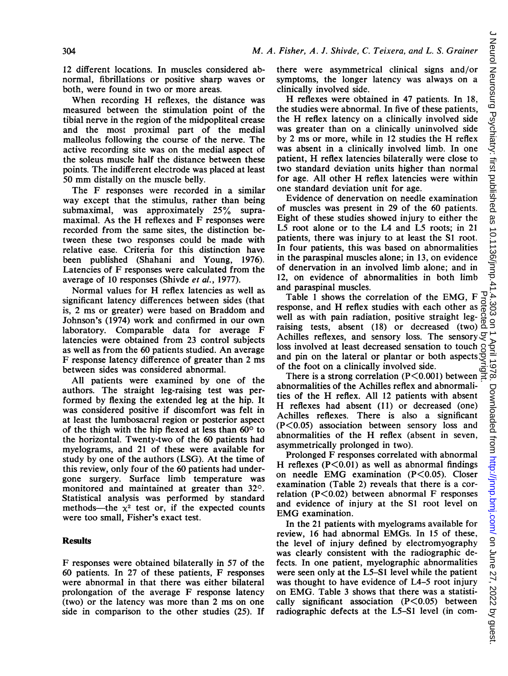12 different locations. In muscles considered abnormal, fibrillations or positive sharp waves or both, were found in two or more areas.

When recording H reflexes, the distance was measured between the stimulation point of the tibial nerve in the region of the midpopliteal crease and the most proximal part of the medial malleolus following the course of the nerve. The active recording site was on the medial aspect of the soleus muscle half the distance between these points. The indifferent electrode was placed at least <sup>50</sup> mm distally on the muscle belly.

The F responses were recorded in <sup>a</sup> similar way except that the stimulus, rather than being submaximal, was approximately 25% supramaximal. As the H reflexes and F responses were recorded from the same sites, the distinction between these two responses could be made with relative ease. Criteria for this distinction have been published (Shahani and Young, 1976). Latencies of F responses were calculated from the average of 10 responses (Shivde et al., 1977).

Normal values for H reflex latencies as well as significant latency differences between sides (that is, 2 ms or greater) were based on Braddom and Johnson's (1974) work and confirmed in our own laboratory. Comparable data for average F latencies were obtained from 23 control subjects as well as from the 60 patients studied. An average F response latency difference of greater than <sup>2</sup> ms between sides was considered abnormal.

All patients were examined by one of the authors. The straight leg-raising test was performed by flexing the extended leg at the hip. It was considered positive if discomfort was felt in at least the lumbosacral region or posterior aspect of the thigh with the hip flexed at less than  $60^{\circ}$  to the horizontal. Twenty-two of the 60 patients had myelograms, and 21 of these were available for study by one of the authors (LSG). At the time of this review, only four of the 60 patients had undergone surgery. Surface limb temperature was monitored and maintained at greater than 32°. Statistical analysis was performed by standard methods—the  $x^2$  test or, if the expected counts were too small, Fisher's exact test.

#### Results

F responses were obtained bilaterally in 57 of the 60 patients. In 27 of these patients, F responses were abnormal in that there was either bilateral prolongation of the average F response latency (two) or the latency was more than 2 ms on one side in comparison to the other studies (25). If

there were asymmetrical clinical signs and/or symptoms, the longer latency was always on a clinically involved side.

H reflexes were obtained in <sup>47</sup> patients. In 18, the studies were abnormal. In five of these patients, the H reflex latency on <sup>a</sup> clinically involved side was greater than on a clinically uninvolved side by <sup>2</sup> ms or more, while in <sup>12</sup> studies the H reflex was absent in a clinically involved limb. In one patient, H reflex latencies bilaterally were close to two standard deviation units higher than normal for age. All other H reflex latencies were within one standard deviation unit for age.

Evidence of denervation on needle examination of muscles was present in 29 of the 60 patients. Eight of these studies showed injury to either the L5 root alone or to the L4 and L5 roots; in 21 patients, there was injury to at least the SI root. In four patients, this was based on abnormalities in the paraspinal muscles alone; in 13, on evidence of denervation in an involved limb alone; and in 12, on evidence of abnormalities in both limb and paraspinal muscles.

Table <sup>1</sup> shows the correlation of the EMG, F response, and H reflex studies with each other as well as with pain radiation, positive straight legraising tests, absent (18) or decreased (two)  $\frac{1}{0}$ Achilles reflexes, and sensory loss. The sensory  $\mathcal Q$ loss involved at least decreased sensation to touch and pin on the lateral or plantar or both aspects of the foot on a clinically involved side. Protected by copyright.

There is a strong correlation (P $\leq$ 0.001) between  $\overline{\Xi}$ abnormalities of the Achilles reflex and abnormalities of the H reflex. All <sup>12</sup> patients with absent H reflexes had absent (11) or decreased (one) Achilles reflexes. There is also a significant (P<0.05) association between sensory loss and abnormalities of the H reflex (absent in seven, asymmetrically prolonged in two).

Prolonged F responses correlated with abnormal H reflexes  $(P<0.01)$  as well as abnormal findings on needle EMG examination (P<0.05). Closer examination (Table 2) reveals that there is a correlation ( $P \le 0.02$ ) between abnormal F responses and evidence of injury at the Sl root level on EMG examination.

In the 21 patients with myelograms available for review, 16 had abnormal EMGs. In <sup>15</sup> of these, the level of injury defined by electromyography was clearly consistent with the radiographic defects. In one patient, myelographic abnormalities were seen only at the L5-S1 level while the patient was thought to have evidence of L4-5 root injury on EMG. Table <sup>3</sup> shows that there was <sup>a</sup> statistically significant association  $(P<0.05)$  between radiographic defects at the L5-S1 level (in com-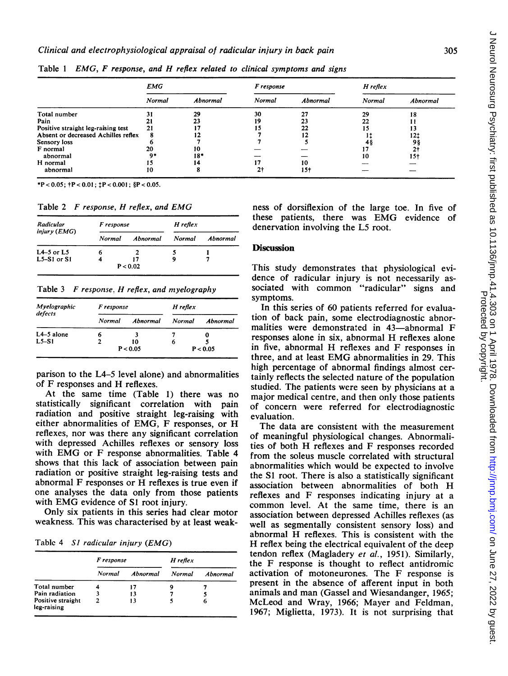|                                     | EMG           |          | F response     |          | $H$ reflex |          |
|-------------------------------------|---------------|----------|----------------|----------|------------|----------|
|                                     | <b>Normal</b> | Abnormal | Normal         | Abnormal | Normal     | Abnormal |
| Total number                        | 31            | 29       | 30             | 27       | 29         | 18       |
| Pain                                |               |          | 19             | 23       | 22         |          |
| Positive straight leg-raising test  | 21            |          |                | 22       |            | 13       |
| Absent or decreased Achilles reflex | 8             |          |                | 12       |            | 12†      |
| Sensory loss                        |               |          |                |          |            | 98       |
| F normal                            | 20            | 10       |                |          |            | 2t       |
| abnormal                            | $^{\circ}$    | $18*$    |                |          | 10         | 15†      |
| H normal                            |               |          |                | 10       |            |          |
| abnormal                            | 10            |          | 2 <sup>†</sup> | 15†      |            |          |

Table <sup>1</sup> EMG, F response, and H reflex related to clinical symptoms and signs

\*P < 0.05;  $+P$  < 0.01;  $+P$  < 0.001;  $P$  < 0.05.

Table <sup>2</sup> F response, H reflex, and EMG

| Radicular      | F response |          | H reflex |          |  |
|----------------|------------|----------|----------|----------|--|
| injury (EMG)   | Normal     | Abnormal | Normal   | Abnormal |  |
| $L4-5$ or $L5$ | 6          |          |          |          |  |
| $L5-S1$ or S1  |            | 17       |          |          |  |
|                |            | P < 0.02 |          |          |  |

Table <sup>3</sup> F response. H reflex, and myelography

| Myelographic<br>defects | F response |          | H reflex |          |  |
|-------------------------|------------|----------|----------|----------|--|
|                         | Normal     | Abnormal | Normal   | Abnormal |  |
| $L4-5$ alone            | n          |          |          |          |  |
| $L5-S1$                 |            | 10       | n        |          |  |
|                         | P < 0.05   |          | P < 0.05 |          |  |

parison to the L4-5 level alone) and abnormalities of F responses and H reflexes.

At the same time (Table 1) there was no statistically significant correlation with pain radiation and positive straight leg-raising with either abnormalities of EMG, F responses, or H reflexes, nor was there any significant correlation with depressed Achilles reflexes or sensory loss with EMG or F response abnormalities. Table <sup>4</sup> shows that this lack of association between pain radiation or positive straight leg-raising tests and abnormal F responses or H reflexes is true even if one analyses the data only from those patients with EMG evidence of S1 root injury.

Only six patients in this series had clear motor weakness. This was characterised by at least weak-

Tablc 4 SI radicular injury (EMG)

|                                  | F response |          | H reflex      |          |
|----------------------------------|------------|----------|---------------|----------|
|                                  | Normal     | Abnormal | <b>Normal</b> | Abnormal |
| Total number                     |            | 17       | g             |          |
| Pain radiation                   |            | 13       |               |          |
| Positive straight<br>leg-raising | 2          | 13       |               | 6        |

ness of dorsiflexion of the large toe. In five of these patients, there was EMG evidence of denervation involving the L5 root.

#### **Discussion**

This study demonstrates that physiological evidence of radicular injury is not necessarily associated with common "radicular" signs and symptoms.

In this series of 60 patients referred for evaluation of back pain, some electrodiagnostic abnormalities were demonstrated in 43-abnormal F responses alone in six, abnormal H reflexes alone in five, abnormal H reflexes and F responses in three, and at least EMG abnormalities in 29. This high percentage of abnormal findings almost certainly reflects the selected nature of the population studied. The patients were seen by physicians at a major medical centre, and then only those patients of concern were referred for electrodiagnostic evaluation.

The data are consistent with the measurement of meaningful physiological changes. Abnormalities of both H reflexes and F responses recorded from the soleus muscle correlated with structural abnormalities which would be expected to involve the S1 root. There is also a statistically significant association between abnormalities of both H reflexes and F responses indicating injury at a common level. At the same time, there is an association between depressed Achilles reflexes (as well as segmentally consistent sensory loss) and abnormal H reflexes. This is consistent with the H reflex being the electrical equivalent of the deep tendon reflex (Magladery et al., 1951). Similarly, the F response is thought to reflect antidromic activation of motoneurones. The F response is present in the absence of afferent input in both animals and man (Gassel and Wiesandanger, 1965; McLeod and Wray, 1966; Mayer and Feldman, 1967; Miglietta, 1973). It is not surprising that